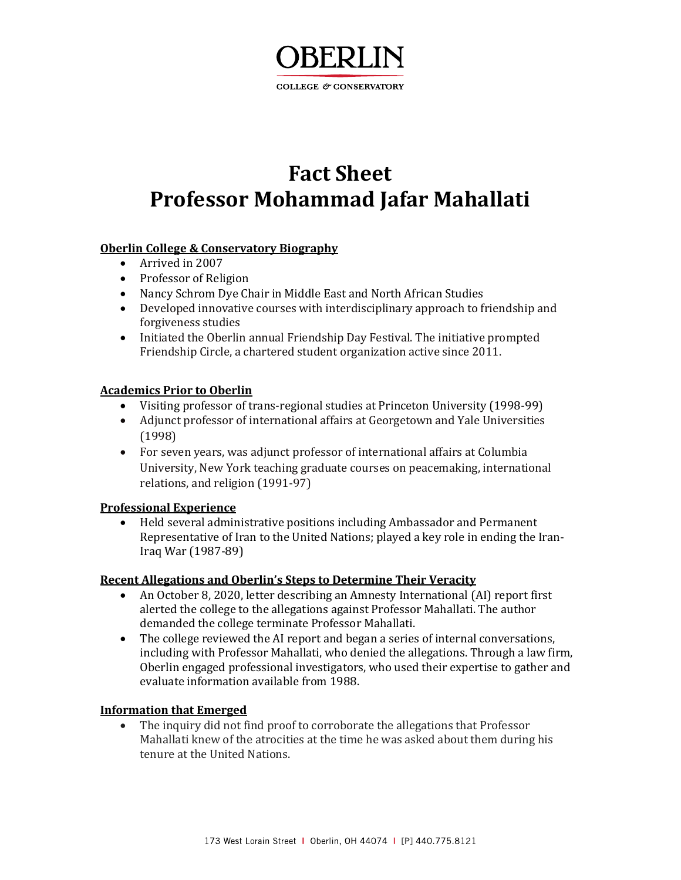## **Fact Sheet Professor Mohammad Jafar Mahallati**

**COLLEGE & CONSERVATORY** 

## **Oberlin College & Conservatory Biography**

- Arrived in 2007
- Professor of Religion
- Nancy Schrom Dye Chair in Middle East and North African Studies
- Developed innovative courses with interdisciplinary approach to friendship and forgiveness studies
- Initiated the Oberlin annual Friendship Day Festival. The initiative prompted Friendship Circle, a chartered student organization active since 2011.

## **Academics Prior to Oberlin**

- Visiting professor of trans-regional studies at Princeton University (1998-99)
- Adjunct professor of international affairs at Georgetown and Yale Universities (1998)
- For seven years, was adjunct professor of international affairs at Columbia University, New York teaching graduate courses on peacemaking, international relations, and religion (1991-97)

## **Professional Experience**

 Held several administrative positions including Ambassador and Permanent Representative of Iran to the United Nations; played a key role in ending the Iran-Iraq War (1987-89)

## **Recent Allegations and Oberlin's Steps to Determine Their Veracity**

- An October 8, 2020, letter describing an Amnesty International (AI) report first alerted the college to the allegations against Professor Mahallati. The author demanded the college terminate Professor Mahallati.
- The college reviewed the AI report and began a series of internal conversations, including with Professor Mahallati, who denied the allegations. Through a law firm, Oberlin engaged professional investigators, who used their expertise to gather and evaluate information available from 1988.

## **Information that Emerged**

 The inquiry did not find proof to corroborate the allegations that Professor Mahallati knew of the atrocities at the time he was asked about them during his tenure at the United Nations.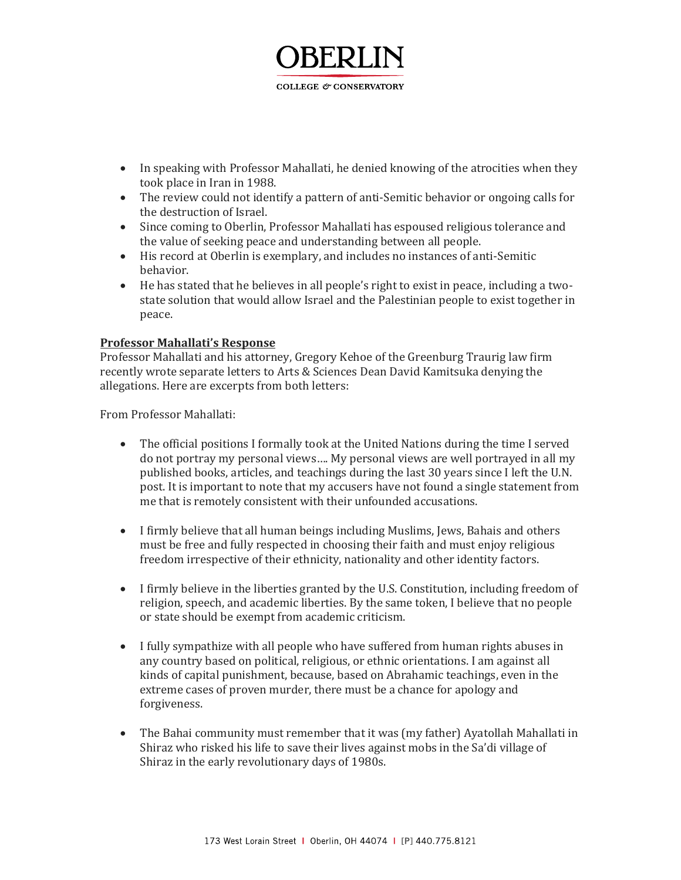## • In speaking with Professor Mahallati, he denied knowing of the atrocities when they took place in Iran in 1988.

**COLLEGE & CONSERVATORY** 

- The review could not identify a pattern of anti-Semitic behavior or ongoing calls for the destruction of Israel.
- Since coming to Oberlin, Professor Mahallati has espoused religious tolerance and the value of seeking peace and understanding between all people.
- His record at Oberlin is exemplary, and includes no instances of anti-Semitic behavior.
- He has stated that he believes in all people's right to exist in peace, including a twostate solution that would allow Israel and the Palestinian people to exist together in peace.

## **Professor Mahallati's Response**

Professor Mahallati and his attorney, Gregory Kehoe of the Greenburg Traurig law firm recently wrote separate letters to Arts & Sciences Dean David Kamitsuka denying the allegations. Here are excerpts from both letters:

From Professor Mahallati:

- The official positions I formally took at the United Nations during the time I served do not portray my personal views…. My personal views are well portrayed in all my published books, articles, and teachings during the last 30 years since I left the U.N. post. It is important to note that my accusers have not found a single statement from me that is remotely consistent with their unfounded accusations.
- I firmly believe that all human beings including Muslims, Jews, Bahais and others must be free and fully respected in choosing their faith and must enjoy religious freedom irrespective of their ethnicity, nationality and other identity factors.
- I firmly believe in the liberties granted by the U.S. Constitution, including freedom of religion, speech, and academic liberties. By the same token, I believe that no people or state should be exempt from academic criticism.
- I fully sympathize with all people who have suffered from human rights abuses in any country based on political, religious, or ethnic orientations. I am against all kinds of capital punishment, because, based on Abrahamic teachings, even in the extreme cases of proven murder, there must be a chance for apology and forgiveness.
- The Bahai community must remember that it was (my father) Ayatollah Mahallati in Shiraz who risked his life to save their lives against mobs in the Sa'di village of Shiraz in the early revolutionary days of 1980s.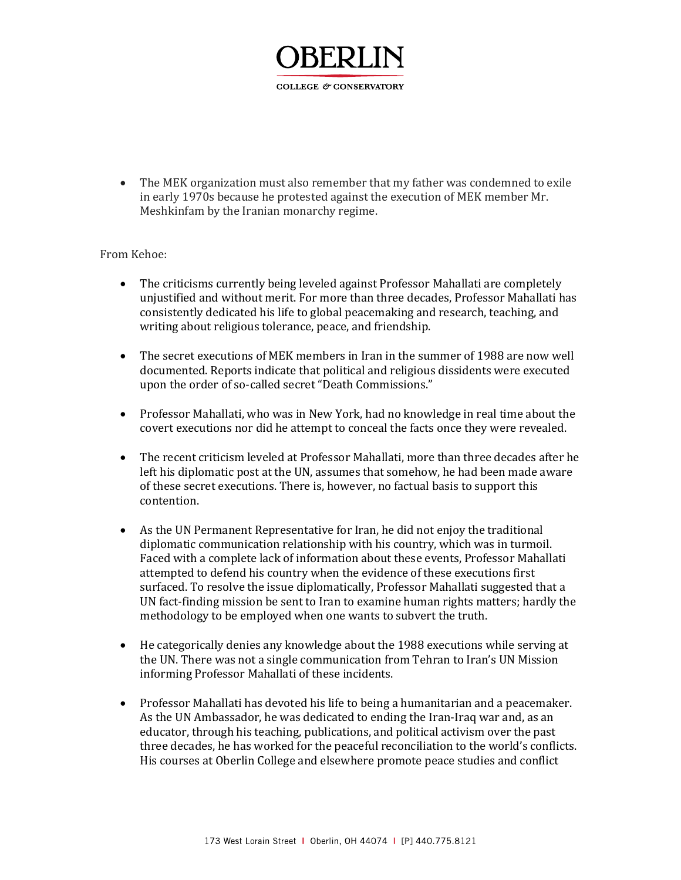# **COLLEGE & CONSERVATORY**

 The MEK organization must also remember that my father was condemned to exile in early 1970s because he protested against the execution of MEK member Mr. Meshkinfam by the Iranian monarchy regime.

## From Kehoe:

- The criticisms currently being leveled against Professor Mahallati are completely unjustified and without merit. For more than three decades, Professor Mahallati has consistently dedicated his life to global peacemaking and research, teaching, and writing about religious tolerance, peace, and friendship.
- The secret executions of MEK members in Iran in the summer of 1988 are now well documented. Reports indicate that political and religious dissidents were executed upon the order of so-called secret "Death Commissions."
- Professor Mahallati, who was in New York, had no knowledge in real time about the covert executions nor did he attempt to conceal the facts once they were revealed.
- The recent criticism leveled at Professor Mahallati, more than three decades after he left his diplomatic post at the UN, assumes that somehow, he had been made aware of these secret executions. There is, however, no factual basis to support this contention.
- As the UN Permanent Representative for Iran, he did not enjoy the traditional diplomatic communication relationship with his country, which was in turmoil. Faced with a complete lack of information about these events, Professor Mahallati attempted to defend his country when the evidence of these executions first surfaced. To resolve the issue diplomatically, Professor Mahallati suggested that a UN fact-finding mission be sent to Iran to examine human rights matters; hardly the methodology to be employed when one wants to subvert the truth.
- He categorically denies any knowledge about the 1988 executions while serving at the UN. There was not a single communication from Tehran to Iran's UN Mission informing Professor Mahallati of these incidents.
- Professor Mahallati has devoted his life to being a humanitarian and a peacemaker. As the UN Ambassador, he was dedicated to ending the Iran-Iraq war and, as an educator, through his teaching, publications, and political activism over the past three decades, he has worked for the peaceful reconciliation to the world's conflicts. His courses at Oberlin College and elsewhere promote peace studies and conflict